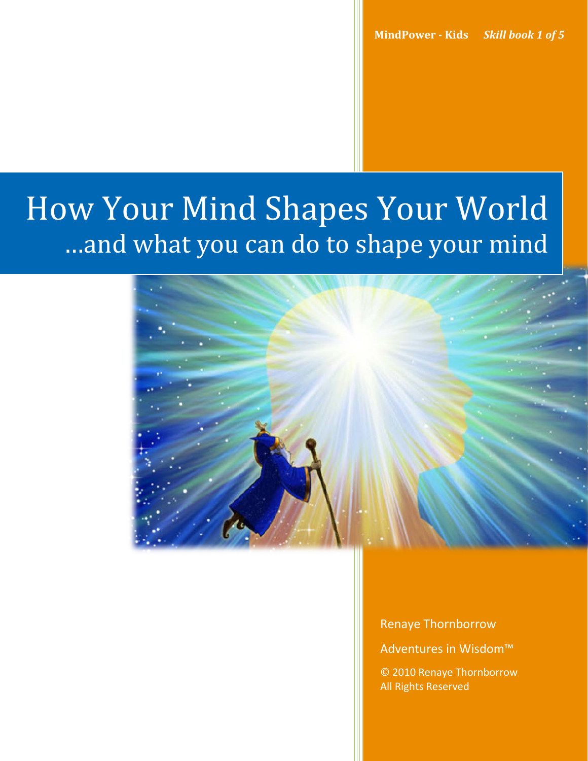# How Your Mind Shapes Your World …and what you can do to shape your mind



Renaye Thornborrow

Adventures in Wisdom™

© 2010 Renaye Thornborrow All Rights Reserved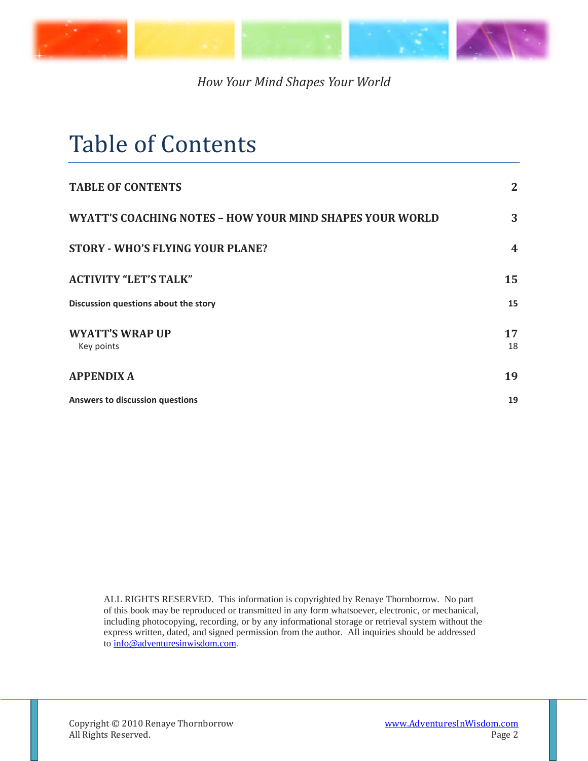

## <span id="page-1-0"></span>Table of Contents

| <b>TABLE OF CONTENTS</b>                                        | $\mathbf{2}$            |
|-----------------------------------------------------------------|-------------------------|
| <b>WYATT'S COACHING NOTES - HOW YOUR MIND SHAPES YOUR WORLD</b> | 3                       |
| <b>STORY - WHO'S FLYING YOUR PLANE?</b>                         | $\overline{\mathbf{4}}$ |
| <b>ACTIVITY "LET'S TALK"</b>                                    | 15                      |
| Discussion questions about the story                            | 15                      |
| <b>WYATT'S WRAP UP</b><br>Key points                            | 17<br>18                |
| <b>APPENDIX A</b>                                               | 19                      |
| <b>Answers to discussion questions</b>                          | 19                      |

ALL RIGHTS RESERVED. This information is copyrighted by Renaye Thornborrow. No part of this book may be reproduced or transmitted in any form whatsoever, electronic, or mechanical, including photocopying, recording, or by any informational storage or retrieval system without the express written, dated, and signed permission from the author. All inquiries should be addressed to [info@adventuresinwisdom.com.](mailto:info@adventuresinwisdom.com)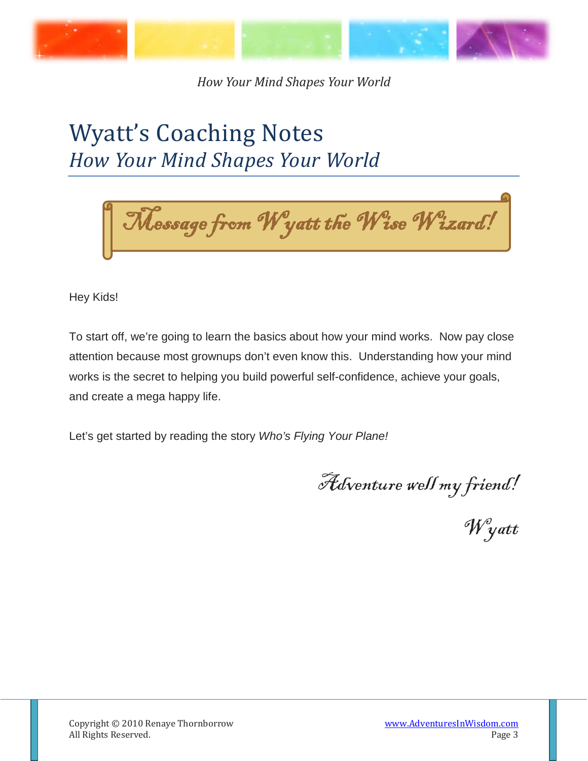

## <span id="page-2-0"></span>Wyatt's Coaching Notes *How Your Mind Shapes Your World*



Hey Kids!

To start off, we're going to learn the basics about how your mind works. Now pay close attention because most grownups don't even know this. Understanding how your mind works is the secret to helping you build powerful self-confidence, achieve your goals, and create a mega happy life.

Let's get started by reading the story *Who's Flying Your Plane!*

Adventure well my friend!

Wyatt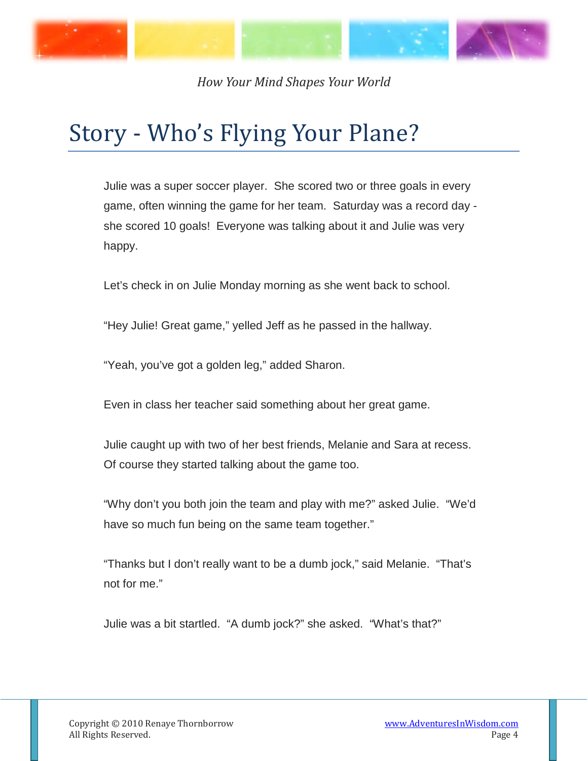

## <span id="page-3-0"></span>Story - Who's Flying Your Plane?

Julie was a super soccer player. She scored two or three goals in every game, often winning the game for her team. Saturday was a record day she scored 10 goals! Everyone was talking about it and Julie was very happy.

Let's check in on Julie Monday morning as she went back to school.

"Hey Julie! Great game," yelled Jeff as he passed in the hallway.

"Yeah, you've got a golden leg," added Sharon.

Even in class her teacher said something about her great game.

Julie caught up with two of her best friends, Melanie and Sara at recess. Of course they started talking about the game too.

"Why don't you both join the team and play with me?" asked Julie. "We'd have so much fun being on the same team together."

"Thanks but I don't really want to be a dumb jock," said Melanie. "That's not for me."

Julie was a bit startled. "A dumb jock?" she asked. "What's that?"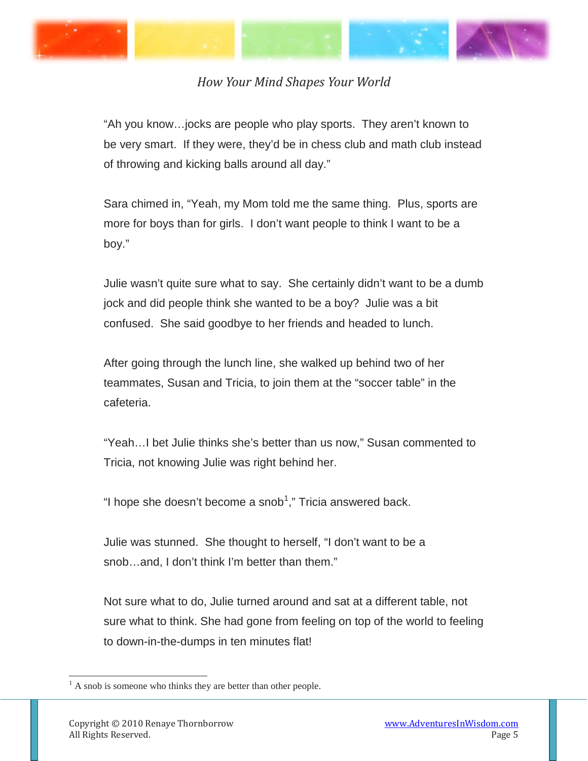



"Ah you know…jocks are people who play sports. They aren't known to be very smart. If they were, they'd be in chess club and math club instead of throwing and kicking balls around all day."

Sara chimed in, "Yeah, my Mom told me the same thing. Plus, sports are more for boys than for girls. I don't want people to think I want to be a boy."

Julie wasn't quite sure what to say. She certainly didn't want to be a dumb jock and did people think she wanted to be a boy? Julie was a bit confused. She said goodbye to her friends and headed to lunch.

After going through the lunch line, she walked up behind two of her teammates, Susan and Tricia, to join them at the "soccer table" in the cafeteria.

"Yeah…I bet Julie thinks she's better than us now," Susan commented to Tricia, not knowing Julie was right behind her.

"I hope she doesn't become a snob<sup>[1](#page-4-0)</sup>," Tricia answered back.

Julie was stunned. She thought to herself, "I don't want to be a snob…and, I don't think I'm better than them."

Not sure what to do, Julie turned around and sat at a different table, not sure what to think. She had gone from feeling on top of the world to feeling to down-in-the-dumps in ten minutes flat!

<span id="page-4-0"></span> $<sup>1</sup>$  A snob is someone who thinks they are better than other people.</sup>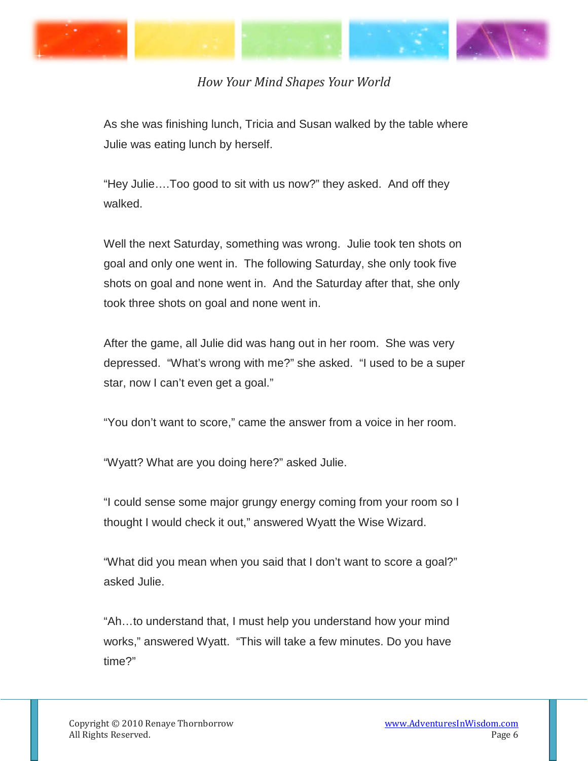

As she was finishing lunch, Tricia and Susan walked by the table where Julie was eating lunch by herself.

"Hey Julie….Too good to sit with us now?" they asked. And off they walked.

Well the next Saturday, something was wrong. Julie took ten shots on goal and only one went in. The following Saturday, she only took five shots on goal and none went in. And the Saturday after that, she only took three shots on goal and none went in.

After the game, all Julie did was hang out in her room. She was very depressed. "What's wrong with me?" she asked. "I used to be a super star, now I can't even get a goal."

"You don't want to score," came the answer from a voice in her room.

"Wyatt? What are you doing here?" asked Julie.

"I could sense some major grungy energy coming from your room so I thought I would check it out," answered Wyatt the Wise Wizard.

"What did you mean when you said that I don't want to score a goal?" asked Julie.

"Ah…to understand that, I must help you understand how your mind works," answered Wyatt. "This will take a few minutes. Do you have time?"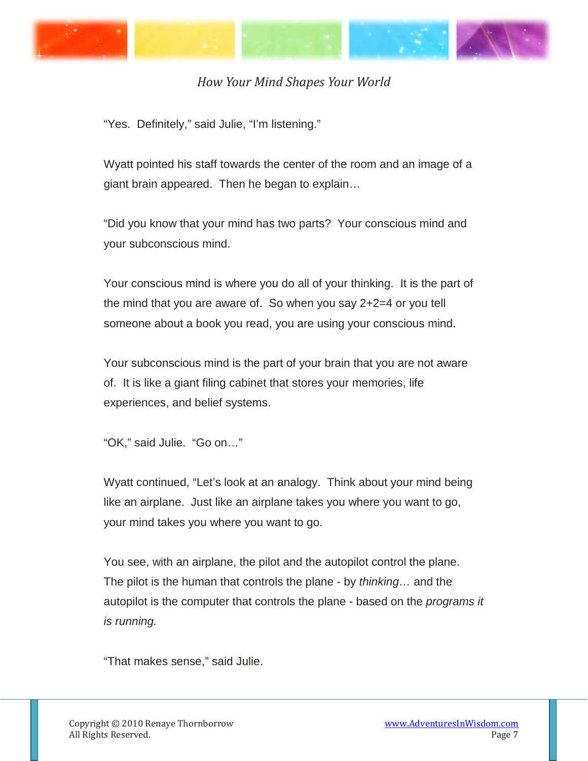

"Yes. Definitely," said Julie, "I'm listening."

Wyatt pointed his staff towards the center of the room and an image of a giant brain appeared. Then he began to explain…

"Did you know that your mind has two parts? Your conscious mind and your subconscious mind.

Your conscious mind is where you do all of your thinking. It is the part of the mind that you are aware of. So when you say 2+2=4 or you tell someone about a book you read, you are using your conscious mind.

Your subconscious mind is the part of your brain that you are not aware of. It is like a giant filing cabinet that stores your memories, life experiences, and belief systems.

```
"OK," said Julie. "Go on…"
```
Wyatt continued, "Let's look at an analogy. Think about your mind being like an airplane. Just like an airplane takes you where you want to go, your mind takes you where you want to go.

You see, with an airplane, the pilot and the autopilot control the plane. The pilot is the human that controls the plane - by *thinking…* and the autopilot is the computer that controls the plane - based on the *programs it is running.* 

"That makes sense," said Julie.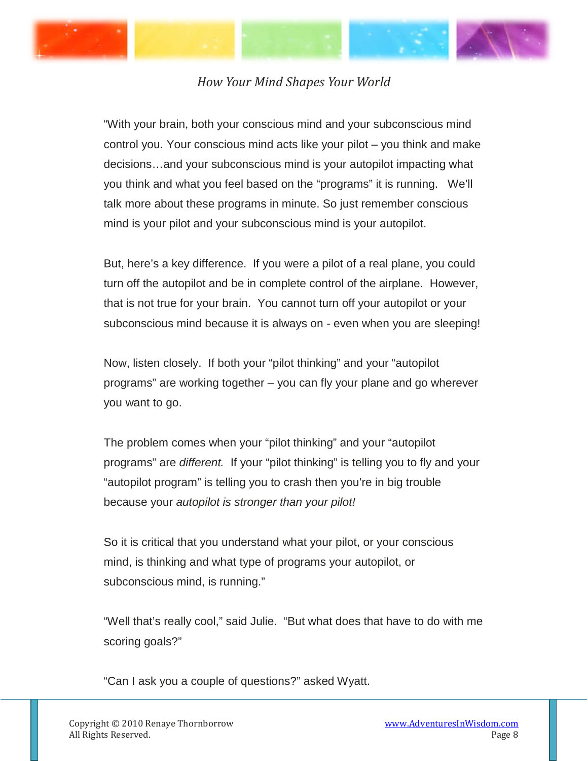



"With your brain, both your conscious mind and your subconscious mind control you. Your conscious mind acts like your pilot – you think and make decisions…and your subconscious mind is your autopilot impacting what you think and what you feel based on the "programs" it is running. We'll talk more about these programs in minute. So just remember conscious mind is your pilot and your subconscious mind is your autopilot.

But, here's a key difference. If you were a pilot of a real plane, you could turn off the autopilot and be in complete control of the airplane. However, that is not true for your brain. You cannot turn off your autopilot or your subconscious mind because it is always on - even when you are sleeping!

Now, listen closely. If both your "pilot thinking" and your "autopilot programs" are working together – you can fly your plane and go wherever you want to go.

The problem comes when your "pilot thinking" and your "autopilot programs" are *different.* If your "pilot thinking" is telling you to fly and your "autopilot program" is telling you to crash then you're in big trouble because your *autopilot is stronger than your pilot!*

So it is critical that you understand what your pilot, or your conscious mind, is thinking and what type of programs your autopilot, or subconscious mind, is running."

"Well that's really cool," said Julie. "But what does that have to do with me scoring goals?"

"Can I ask you a couple of questions?" asked Wyatt.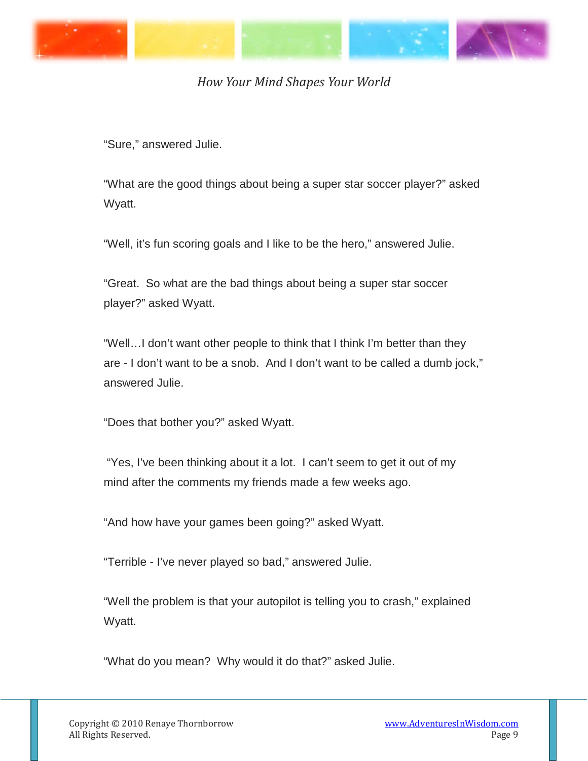

"Sure," answered Julie.

"What are the good things about being a super star soccer player?" asked Wyatt.

"Well, it's fun scoring goals and I like to be the hero," answered Julie.

"Great. So what are the bad things about being a super star soccer player?" asked Wyatt.

"Well…I don't want other people to think that I think I'm better than they are - I don't want to be a snob. And I don't want to be called a dumb jock," answered Julie.

"Does that bother you?" asked Wyatt.

"Yes, I've been thinking about it a lot. I can't seem to get it out of my mind after the comments my friends made a few weeks ago.

"And how have your games been going?" asked Wyatt.

"Terrible - I've never played so bad," answered Julie.

"Well the problem is that your autopilot is telling you to crash," explained Wyatt.

"What do you mean? Why would it do that?" asked Julie.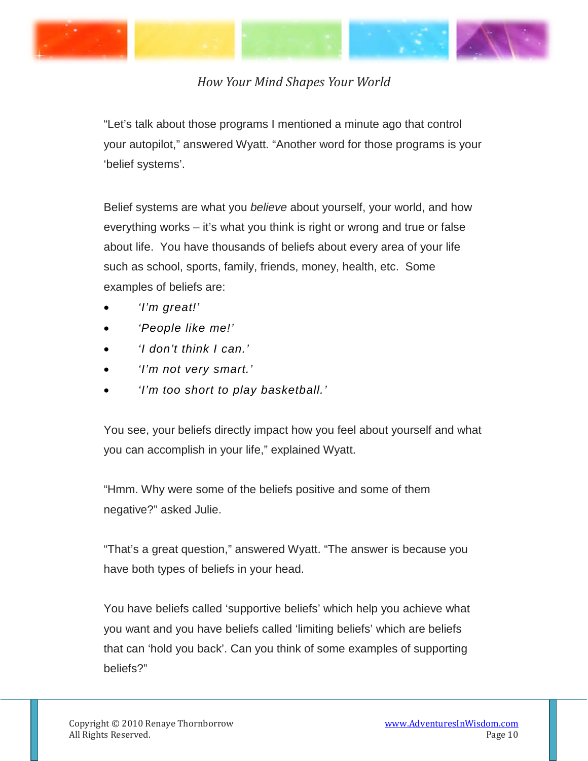

"Let's talk about those programs I mentioned a minute ago that control your autopilot," answered Wyatt. "Another word for those programs is your 'belief systems'.

Belief systems are what you *believe* about yourself, your world, and how everything works – it's what you think is right or wrong and true or false about life. You have thousands of beliefs about every area of your life such as school, sports, family, friends, money, health, etc. Some examples of beliefs are:

- *'I'm great!'*
- *'People like me!'*
- *'I don't think I can.'*
- *'I'm not very smart.'*
- *'I'm too short to play basketball.'*

You see, your beliefs directly impact how you feel about yourself and what you can accomplish in your life," explained Wyatt.

"Hmm. Why were some of the beliefs positive and some of them negative?" asked Julie.

"That's a great question," answered Wyatt. "The answer is because you have both types of beliefs in your head.

You have beliefs called 'supportive beliefs' which help you achieve what you want and you have beliefs called 'limiting beliefs' which are beliefs that can 'hold you back'. Can you think of some examples of supporting beliefs?"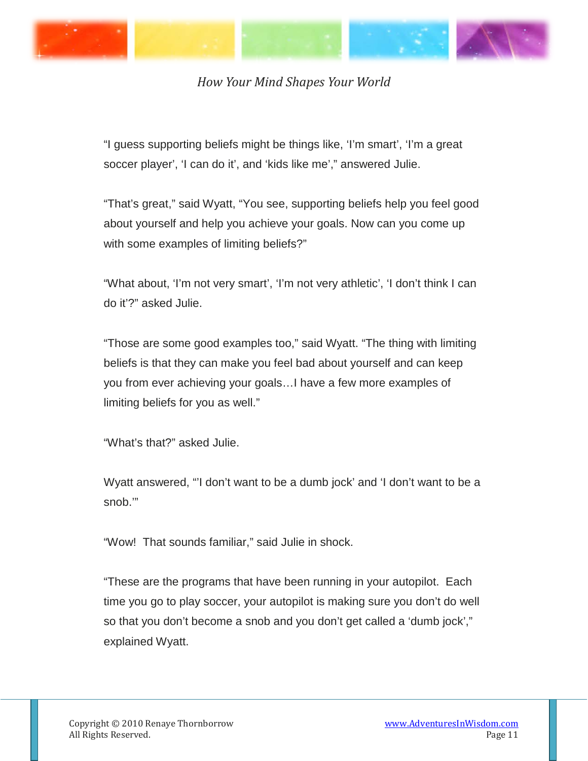

"I guess supporting beliefs might be things like, 'I'm smart', 'I'm a great soccer player', 'I can do it', and 'kids like me'," answered Julie.

"That's great," said Wyatt, "You see, supporting beliefs help you feel good about yourself and help you achieve your goals. Now can you come up with some examples of limiting beliefs?"

"What about, 'I'm not very smart', 'I'm not very athletic', 'I don't think I can do it'?" asked Julie.

"Those are some good examples too," said Wyatt. "The thing with limiting beliefs is that they can make you feel bad about yourself and can keep you from ever achieving your goals…I have a few more examples of limiting beliefs for you as well."

"What's that?" asked Julie.

Wyatt answered, "'I don't want to be a dumb jock' and 'I don't want to be a snob.'"

"Wow! That sounds familiar," said Julie in shock.

"These are the programs that have been running in your autopilot. Each time you go to play soccer, your autopilot is making sure you don't do well so that you don't become a snob and you don't get called a 'dumb jock'," explained Wyatt.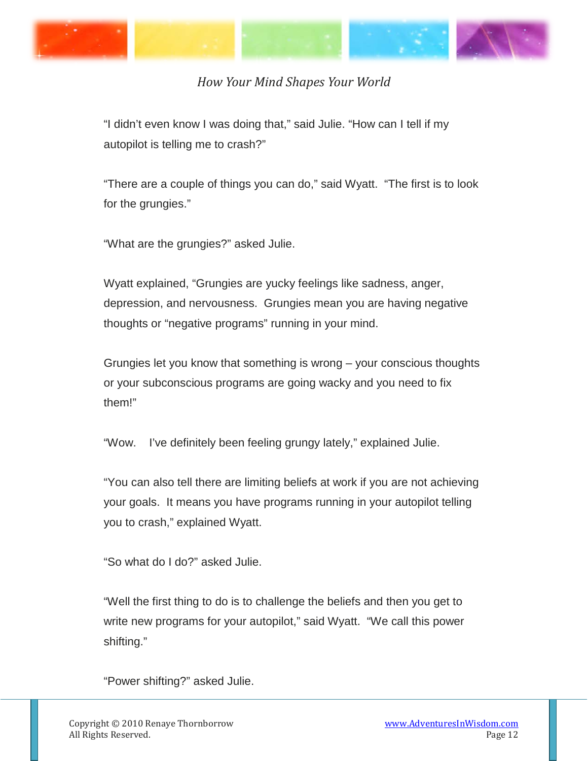

"I didn't even know I was doing that," said Julie. "How can I tell if my autopilot is telling me to crash?"

"There are a couple of things you can do," said Wyatt. "The first is to look for the grungies."

"What are the grungies?" asked Julie.

Wyatt explained, "Grungies are yucky feelings like sadness, anger, depression, and nervousness. Grungies mean you are having negative thoughts or "negative programs" running in your mind.

Grungies let you know that something is wrong – your conscious thoughts or your subconscious programs are going wacky and you need to fix them!"

"Wow. I've definitely been feeling grungy lately," explained Julie.

"You can also tell there are limiting beliefs at work if you are not achieving your goals. It means you have programs running in your autopilot telling you to crash," explained Wyatt.

"So what do I do?" asked Julie.

"Well the first thing to do is to challenge the beliefs and then you get to write new programs for your autopilot," said Wyatt. "We call this power shifting."

"Power shifting?" asked Julie.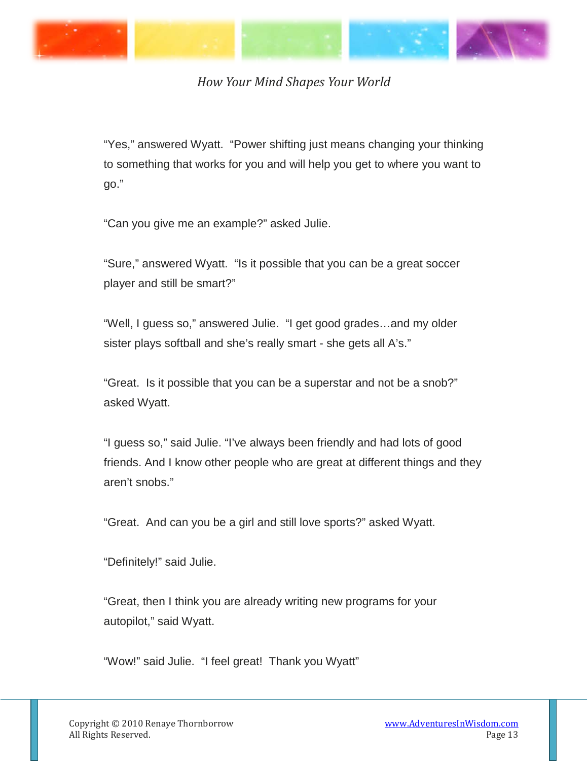

"Yes," answered Wyatt. "Power shifting just means changing your thinking to something that works for you and will help you get to where you want to go."

"Can you give me an example?" asked Julie.

"Sure," answered Wyatt. "Is it possible that you can be a great soccer player and still be smart?"

"Well, I guess so," answered Julie. "I get good grades…and my older sister plays softball and she's really smart - she gets all A's."

"Great. Is it possible that you can be a superstar and not be a snob?" asked Wyatt.

"I guess so," said Julie. "I've always been friendly and had lots of good friends. And I know other people who are great at different things and they aren't snobs."

"Great. And can you be a girl and still love sports?" asked Wyatt.

"Definitely!" said Julie.

"Great, then I think you are already writing new programs for your autopilot," said Wyatt.

"Wow!" said Julie. "I feel great! Thank you Wyatt"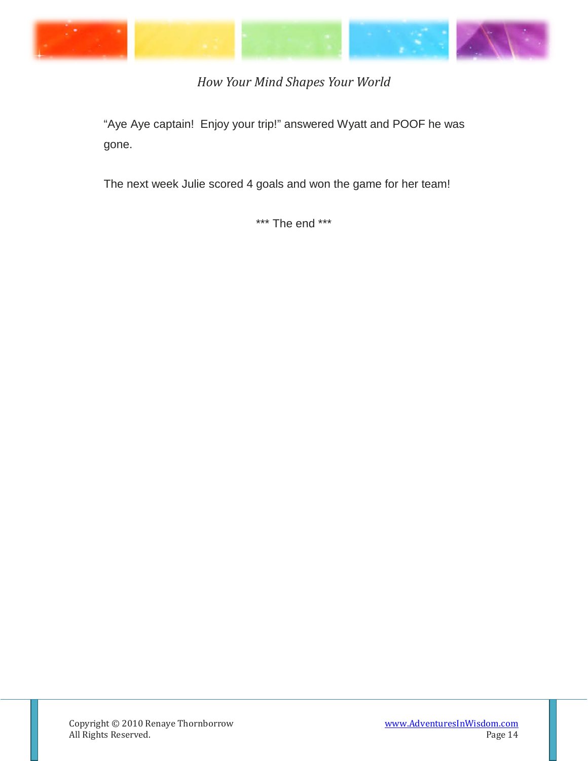

"Aye Aye captain! Enjoy your trip!" answered Wyatt and POOF he was gone.

The next week Julie scored 4 goals and won the game for her team!

\*\*\* The end \*\*\*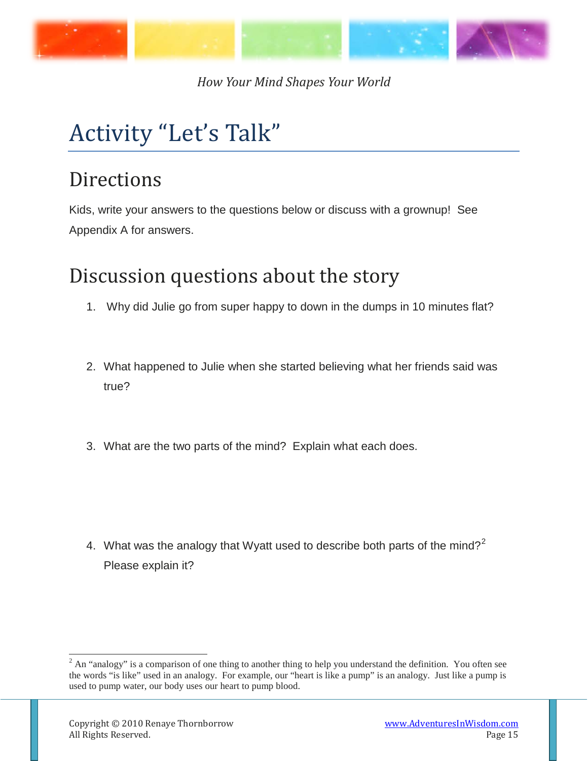

# <span id="page-14-0"></span>Activity "Let's Talk"

## **Directions**

Kids, write your answers to the questions below or discuss with a grownup! See Appendix A for answers.

## <span id="page-14-1"></span>Discussion questions about the story

- 1. Why did Julie go from super happy to down in the dumps in 10 minutes flat?
- 2. What happened to Julie when she started believing what her friends said was true?
- 3. What are the two parts of the mind? Explain what each does.

4. What was the analogy that Wyatt used to describe both parts of the mind?<sup>[2](#page-14-2)</sup> Please explain it?

<span id="page-14-2"></span> $2$  An "analogy" is a comparison of one thing to another thing to help you understand the definition. You often see the words "is like" used in an analogy. For example, our "heart is like a pump" is an analogy. Just like a pump is used to pump water, our body uses our heart to pump blood.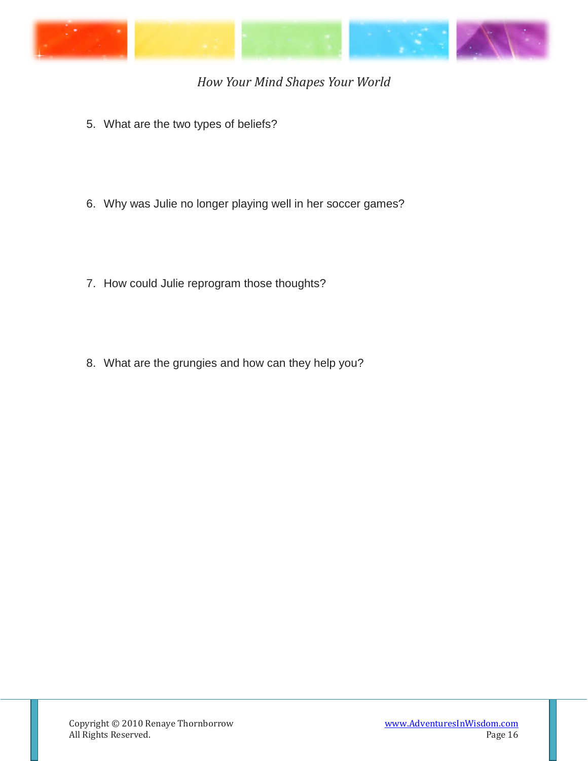

- 5. What are the two types of beliefs?
- 6. Why was Julie no longer playing well in her soccer games?
- 7. How could Julie reprogram those thoughts?
- 8. What are the grungies and how can they help you?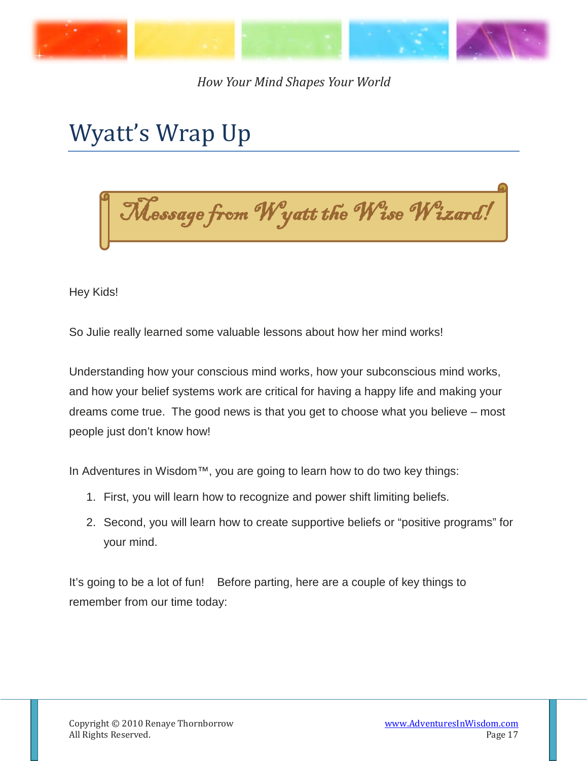

## <span id="page-16-0"></span>Wyatt's Wrap Up

Message from Wyatt the Wise Wizard!

Hey Kids!

So Julie really learned some valuable lessons about how her mind works!

Understanding how your conscious mind works, how your subconscious mind works, and how your belief systems work are critical for having a happy life and making your dreams come true. The good news is that you get to choose what you believe – most people just don't know how!

In Adventures in Wisdom™, you are going to learn how to do two key things:

- 1. First, you will learn how to recognize and power shift limiting beliefs.
- 2. Second, you will learn how to create supportive beliefs or "positive programs" for your mind.

It's going to be a lot of fun! Before parting, here are a couple of key things to remember from our time today: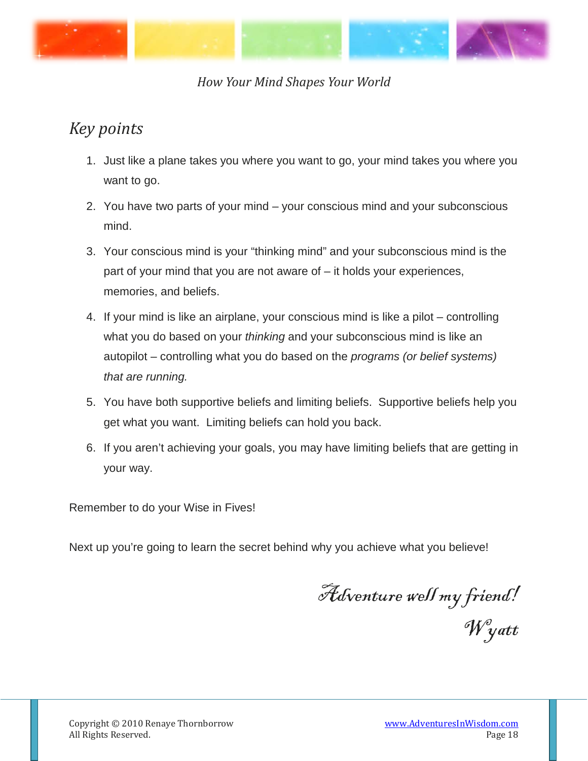

#### <span id="page-17-0"></span>*Key points*

- 1. Just like a plane takes you where you want to go, your mind takes you where you want to go.
- 2. You have two parts of your mind your conscious mind and your subconscious mind.
- 3. Your conscious mind is your "thinking mind" and your subconscious mind is the part of your mind that you are not aware of – it holds your experiences, memories, and beliefs.
- 4. If your mind is like an airplane, your conscious mind is like a pilot controlling what you do based on your *thinking* and your subconscious mind is like an autopilot – controlling what you do based on the *programs (or belief systems) that are running.*
- 5. You have both supportive beliefs and limiting beliefs. Supportive beliefs help you get what you want. Limiting beliefs can hold you back.
- 6. If you aren't achieving your goals, you may have limiting beliefs that are getting in your way.

Remember to do your Wise in Fives!

Next up you're going to learn the secret behind why you achieve what you believe!

Adventure well my friend! Wyatt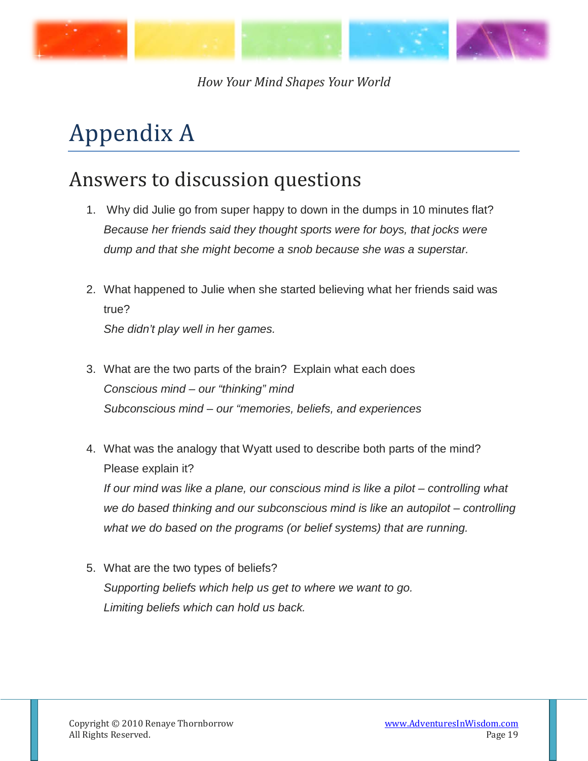

# <span id="page-18-0"></span>Appendix A

### <span id="page-18-1"></span>Answers to discussion questions

- 1. Why did Julie go from super happy to down in the dumps in 10 minutes flat? *Because her friends said they thought sports were for boys, that jocks were dump and that she might become a snob because she was a superstar.*
- 2. What happened to Julie when she started believing what her friends said was true? *She didn't play well in her games.*
- 3. What are the two parts of the brain? Explain what each does *Conscious mind – our "thinking" mind Subconscious mind – our "memories, beliefs, and experiences*
- 4. What was the analogy that Wyatt used to describe both parts of the mind? Please explain it?

*If our mind was like a plane, our conscious mind is like a pilot – controlling what we do based thinking and our subconscious mind is like an autopilot – controlling what we do based on the programs (or belief systems) that are running.*

5. What are the two types of beliefs? *Supporting beliefs which help us get to where we want to go. Limiting beliefs which can hold us back.*